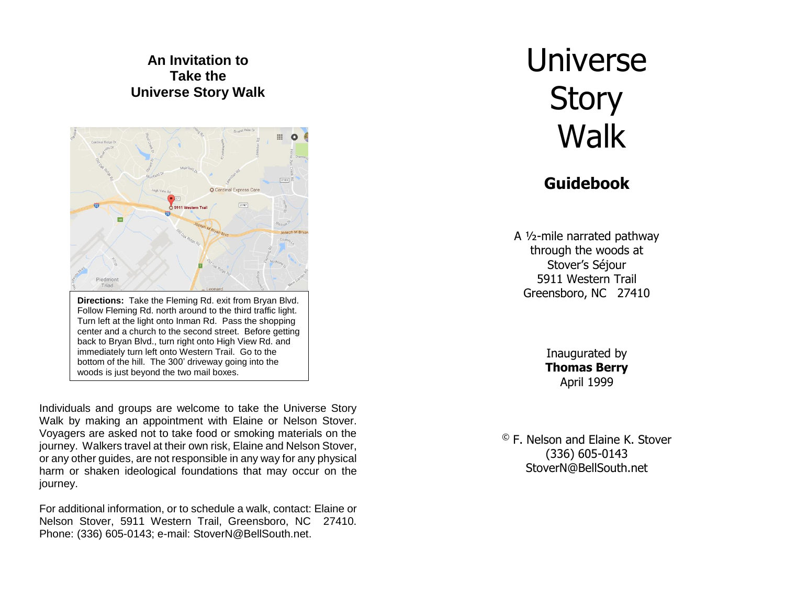#### **An Invitation to Take the Universe Story Walk**



Individuals and groups are welcome to take the Universe Story Walk by making an appointment with Elaine or Nelson Stover. Voyagers are asked not to take food or smoking materials on the journey. Walkers travel at their own risk, Elaine and Nelson Stover, or any other guides, are not responsible in any way for any physical harm or shaken ideological foundations that may occur on the journey.

For additional information, or to schedule a walk, contact: Elaine or Nelson Stover, 5911 Western Trail, Greensboro, NC 27410. Phone: (336) 605-0143; e-mail: StoverN@BellSouth.net.

# Universe **Story Walk**

# **Guidebook**

A ½-mile narrated pathway through the woods at Stover's Séjour 5911 Western Trail Greensboro, NC 27410

> Inaugurated by **Thomas Berry** April 1999

© F. Nelson and Elaine K. Stover (336) 605-0143 StoverN@BellSouth.net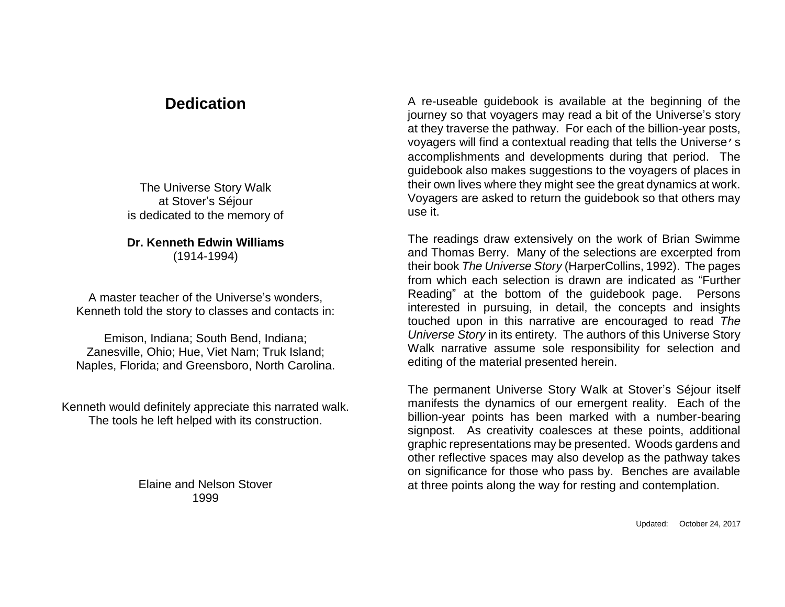# **Dedication**

The Universe Story Walk at Stover's Séjour is dedicated to the memory of

#### **Dr. Kenneth Edwin Williams** (1914-1994)

A master teacher of the Universe's wonders, Kenneth told the story to classes and contacts in:

Emison, Indiana; South Bend, Indiana; Zanesville, Ohio; Hue, Viet Nam; Truk Island; Naples, Florida; and Greensboro, North Carolina.

Kenneth would definitely appreciate this narrated walk. The tools he left helped with its construction.

> Elaine and Nelson Stover 1999

A re-useable guidebook is available at the beginning of the journey so that voyagers may read a bit of the Universe's story at they traverse the pathway. For each of the billion-year posts, voyagers will find a contextual reading that tells the Universe's accomplishments and developments during that period. The guidebook also makes suggestions to the voyagers of places in their own lives where they might see the great dynamics at work. Voyagers are asked to return the guidebook so that others may use it.

The readings draw extensively on the work of Brian Swimme and Thomas Berry. Many of the selections are excerpted from their book *The Universe Story* (HarperCollins, 1992). The pages from which each selection is drawn are indicated as "Further Reading" at the bottom of the guidebook page. Persons interested in pursuing, in detail, the concepts and insights touched upon in this narrative are encouraged to read *The Universe Story* in its entirety. The authors of this Universe Story Walk narrative assume sole responsibility for selection and editing of the material presented herein.

The permanent Universe Story Walk at Stover's Séjour itself manifests the dynamics of our emergent reality. Each of the billion-year points has been marked with a number-bearing signpost. As creativity coalesces at these points, additional graphic representations may be presented. Woods gardens and other reflective spaces may also develop as the pathway takes on significance for those who pass by. Benches are available at three points along the way for resting and contemplation.

Updated: October 24, 2017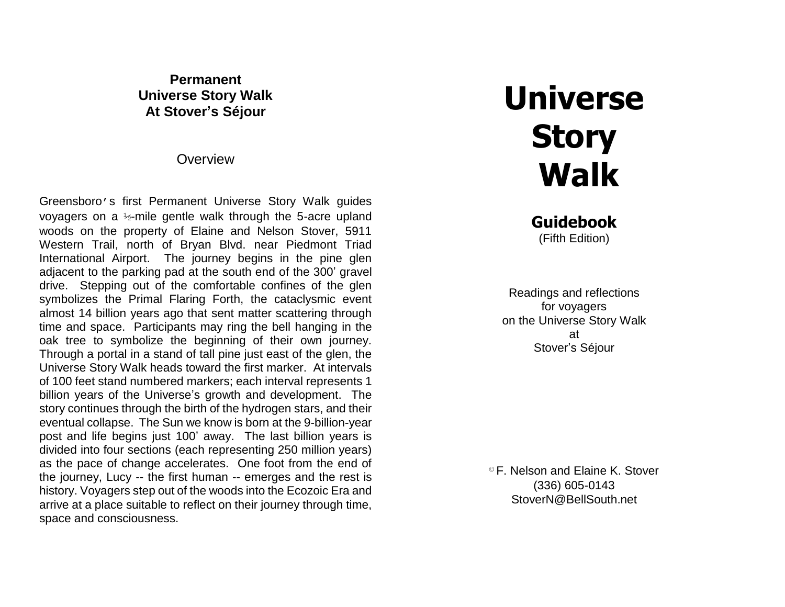**Permanent Universe Story Walk At Stover's Séjour**

**Overview** 

Greensboro's first Permanent Universe Story Walk guides voyagers on a ½-mile gentle walk through the 5-acre upland woods on the property of Elaine and Nelson Stover, 5911 Western Trail, north of Bryan Blvd. near Piedmont Triad International Airport. The journey begins in the pine glen adjacent to the parking pad at the south end of the 300' gravel drive. Stepping out of the comfortable confines of the glen symbolizes the Primal Flaring Forth, the cataclysmic event almost 14 billion years ago that sent matter scattering through time and space. Participants may ring the bell hanging in the oak tree to symbolize the beginning of their own journey. Through a portal in a stand of tall pine just east of the glen, the Universe Story Walk heads toward the first marker. At intervals of 100 feet stand numbered markers; each interval represents 1 billion years of the Universe's growth and development. The story continues through the birth of the hydrogen stars, and their eventual collapse. The Sun we know is born at the 9-billion-year post and life begins just 100' away. The last billion years is divided into four sections (each representing 250 million years) as the pace of change accelerates. One foot from the end of the journey, Lucy -- the first human -- emerges and the rest is history. Voyagers step out of the woods into the Ecozoic Era and arrive at a place suitable to reflect on their journey through time, space and consciousness.

# **Universe Story Walk**

**Guidebook** (Fifth Edition)

Readings and reflections for voyagers on the Universe Story Walk at Stover's Séjour

© F. Nelson and Elaine K. Stover (336) 605-0143 StoverN@BellSouth.net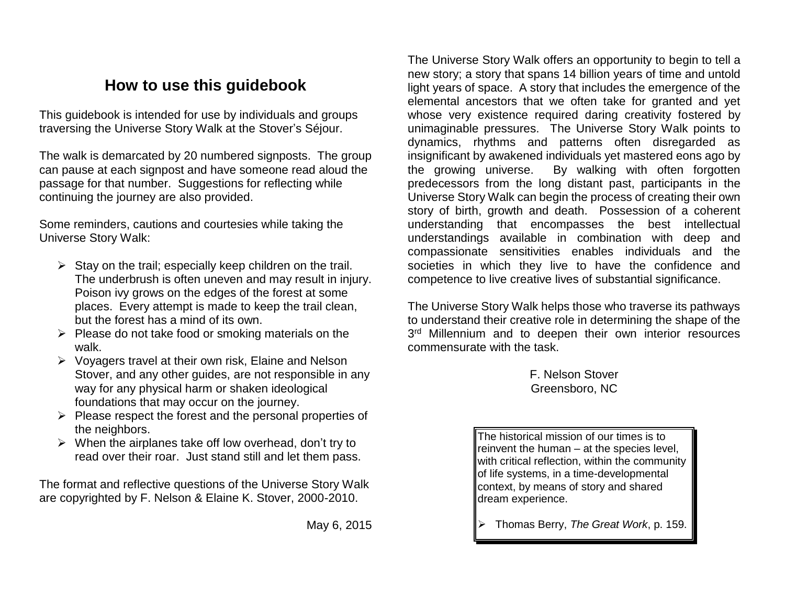# **How to use this guidebook**

This guidebook is intended for use by individuals and groups traversing the Universe Story Walk at the Stover's Séjour.

The walk is demarcated by 20 numbered signposts. The group can pause at each signpost and have someone read aloud the passage for that number. Suggestions for reflecting while continuing the journey are also provided.

Some reminders, cautions and courtesies while taking the Universe Story Walk:

- $\triangleright$  Stay on the trail; especially keep children on the trail. The underbrush is often uneven and may result in injury. Poison ivy grows on the edges of the forest at some places. Every attempt is made to keep the trail clean, but the forest has a mind of its own.
- $\triangleright$  Please do not take food or smoking materials on the walk.
- ➢ Voyagers travel at their own risk, Elaine and Nelson Stover, and any other guides, are not responsible in any way for any physical harm or shaken ideological foundations that may occur on the journey.
- ➢ Please respect the forest and the personal properties of the neighbors.
- $\triangleright$  When the airplanes take off low overhead, don't try to read over their roar. Just stand still and let them pass.

The format and reflective questions of the Universe Story Walk are copyrighted by F. Nelson & Elaine K. Stover, 2000-2010.

May 6, 2015

The Universe Story Walk offers an opportunity to begin to tell a new story; a story that spans 14 billion years of time and untold light years of space. A story that includes the emergence of the elemental ancestors that we often take for granted and yet whose very existence required daring creativity fostered by unimaginable pressures. The Universe Story Walk points to dynamics, rhythms and patterns often disregarded as insignificant by awakened individuals yet mastered eons ago by the growing universe. By walking with often forgotten predecessors from the long distant past, participants in the Universe Story Walk can begin the process of creating their own story of birth, growth and death. Possession of a coherent understanding that encompasses the best intellectual understandings available in combination with deep and compassionate sensitivities enables individuals and the societies in which they live to have the confidence and competence to live creative lives of substantial significance.

The Universe Story Walk helps those who traverse its pathways to understand their creative role in determining the shape of the 3<sup>rd</sup> Millennium and to deepen their own interior resources commensurate with the task.

> F. Nelson Stover Greensboro, NC

The historical mission of our times is to reinvent the human – at the species level, with critical reflection, within the community of life systems, in a time-developmental context, by means of story and shared dream experience.

➢ Thomas Berry, *The Great Work*, p. 159.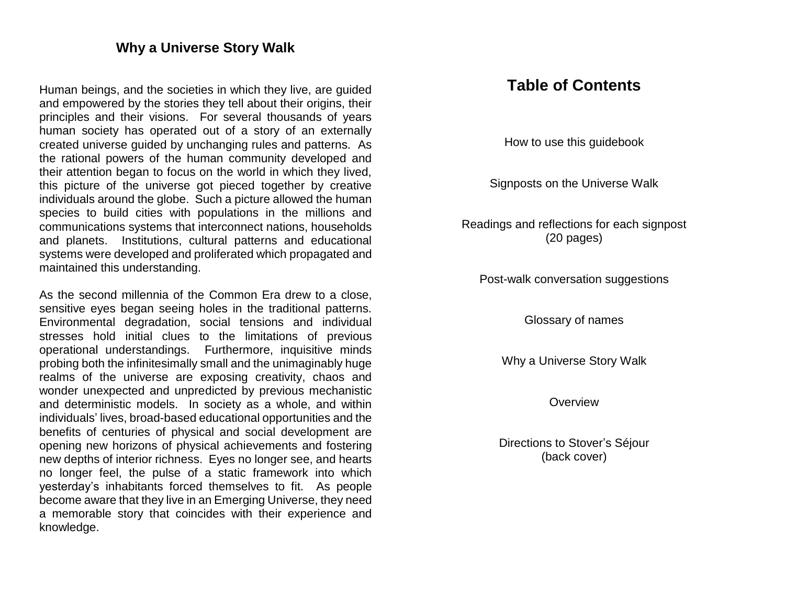#### **Why a Universe Story Walk**

Human beings, and the societies in which they live, are guided and empowered by the stories they tell about their origins, their principles and their visions. For several thousands of years human society has operated out of a story of an externally created universe guided by unchanging rules and patterns. As the rational powers of the human community developed and their attention began to focus on the world in which they lived, this picture of the universe got pieced together by creative individuals around the globe. Such a picture allowed the human species to build cities with populations in the millions and communications systems that interconnect nations, households and planets. Institutions, cultural patterns and educational systems were developed and proliferated which propagated and maintained this understanding.

As the second millennia of the Common Era drew to a close, sensitive eyes began seeing holes in the traditional patterns. Environmental degradation, social tensions and individual stresses hold initial clues to the limitations of previous operational understandings. Furthermore, inquisitive minds probing both the infinitesimally small and the unimaginably huge realms of the universe are exposing creativity, chaos and wonder unexpected and unpredicted by previous mechanistic and deterministic models. In society as a whole, and within individuals' lives, broad-based educational opportunities and the benefits of centuries of physical and social development are opening new horizons of physical achievements and fostering new depths of interior richness. Eyes no longer see, and hearts no longer feel, the pulse of a static framework into which yesterday's inhabitants forced themselves to fit. As people become aware that they live in an Emerging Universe, they need a memorable story that coincides with their experience and knowledge.

## **Table of Contents**

How to use this guidebook

Signposts on the Universe Walk

Readings and reflections for each signpost (20 pages)

Post-walk conversation suggestions

Glossary of names

Why a Universe Story Walk

**Overview** 

Directions to Stover's Séjour (back cover)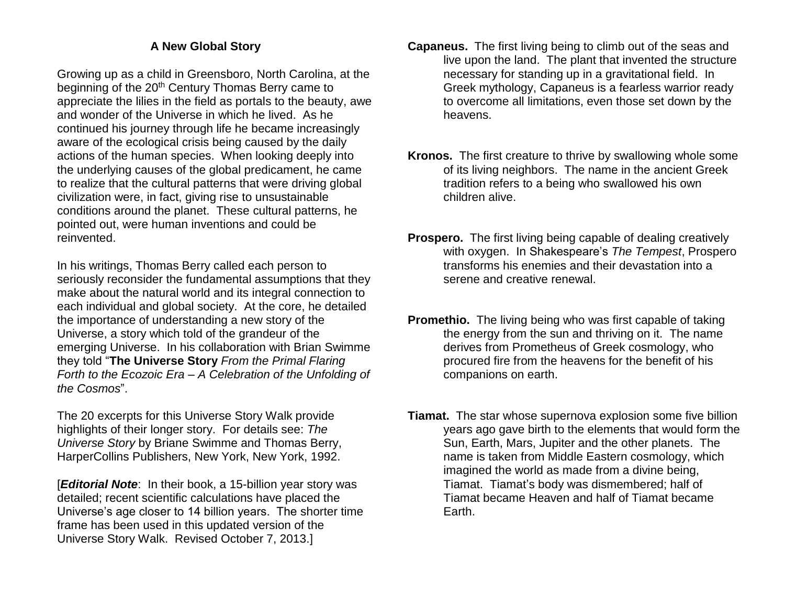#### **A New Global Story**

Growing up as a child in Greensboro, North Carolina, at the beginning of the 20<sup>th</sup> Century Thomas Berry came to appreciate the lilies in the field as portals to the beauty, awe and wonder of the Universe in which he lived. As he continued his journey through life he became increasingly aware of the ecological crisis being caused by the daily actions of the human species. When looking deeply into the underlying causes of the global predicament, he came to realize that the cultural patterns that were driving global civilization were, in fact, giving rise to unsustainable conditions around the planet. These cultural patterns, he pointed out, were human inventions and could be reinvented.

In his writings, Thomas Berry called each person to seriously reconsider the fundamental assumptions that they make about the natural world and its integral connection to each individual and global society. At the core, he detailed the importance of understanding a new story of the Universe, a story which told of the grandeur of the emerging Universe. In his collaboration with Brian Swimme they told "**The Universe Story** *From the Primal Flaring Forth to the Ecozoic Era – A Celebration of the Unfolding of the Cosmos*".

The 20 excerpts for this Universe Story Walk provide highlights of their longer story. For details see: *The Universe Story* by Briane Swimme and Thomas Berry, HarperCollins Publishers, New York, New York, 1992.

[*Editorial Note*: In their book, a 15-billion year story was detailed; recent scientific calculations have placed the Universe's age closer to 14 billion years. The shorter time frame has been used in this updated version of the Universe Story Walk. Revised October 7, 2013.]

- **Capaneus.** The first living being to climb out of the seas and live upon the land. The plant that invented the structure necessary for standing up in a gravitational field. In Greek mythology, Capaneus is a fearless warrior ready to overcome all limitations, even those set down by the heavens.
- **Kronos.** The first creature to thrive by swallowing whole some of its living neighbors. The name in the ancient Greek tradition refers to a being who swallowed his own children alive.
- **Prospero.** The first living being capable of dealing creatively with oxygen. In Shakespeare's *The Tempest*, Prospero transforms his enemies and their devastation into a serene and creative renewal.
- **Promethio.** The living being who was first capable of taking the energy from the sun and thriving on it. The name derives from Prometheus of Greek cosmology, who procured fire from the heavens for the benefit of his companions on earth.
- **Tiamat.** The star whose supernova explosion some five billion years ago gave birth to the elements that would form the Sun, Earth, Mars, Jupiter and the other planets. The name is taken from Middle Eastern cosmology, which imagined the world as made from a divine being, Tiamat. Tiamat's body was dismembered; half of Tiamat became Heaven and half of Tiamat became Earth.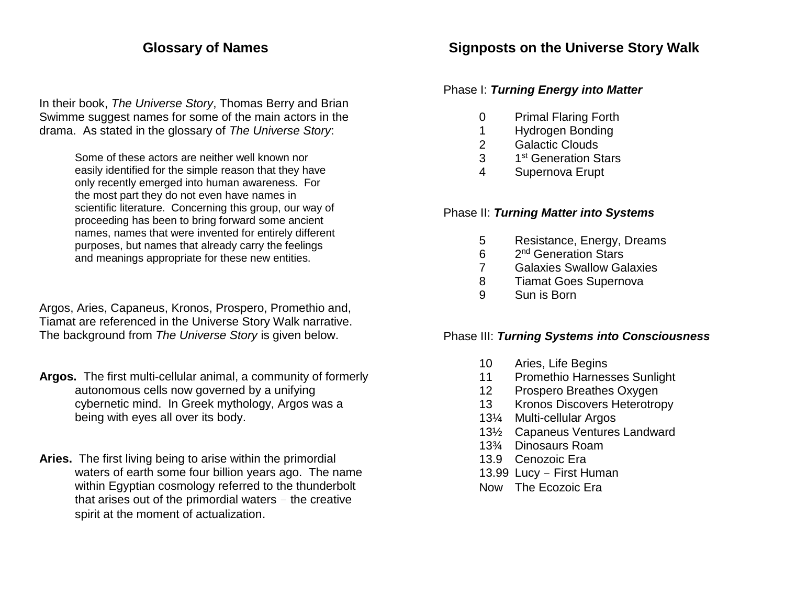## **Glossary of Names**

In their book, *The Universe Story*, Thomas Berry and Brian Swimme suggest names for some of the main actors in the drama. As stated in the glossary of *The Universe Story*:

> Some of these actors are neither well known nor easily identified for the simple reason that they have only recently emerged into human awareness. For the most part they do not even have names in scientific literature. Concerning this group, our way of proceeding has been to bring forward some ancient names, names that were invented for entirely different purposes, but names that already carry the feelings and meanings appropriate for these new entities.

Argos, Aries, Capaneus, Kronos, Prospero, Promethio and, Tiamat are referenced in the Universe Story Walk narrative. The background from *The Universe Story* is given below.

- **Argos.** The first multi-cellular animal, a community of formerly autonomous cells now governed by a unifying cybernetic mind. In Greek mythology, Argos was a being with eyes all over its body.
- **Aries.** The first living being to arise within the primordial waters of earth some four billion years ago. The name within Egyptian cosmology referred to the thunderbolt that arises out of the primordial waters – the creative spirit at the moment of actualization.

## **Signposts on the Universe Story Walk**

#### Phase I: *Turning Energy into Matter*

- 0 Primal Flaring Forth
- 1 Hydrogen Bonding
- 2 Galactic Clouds
- 3 1 1<sup>st</sup> Generation Stars
- 4 Supernova Erupt

#### Phase II: *Turning Matter into Systems*

- 5 Resistance, Energy, Dreams
- 6 2<sup>nd</sup> Generation Stars
- 7 Galaxies Swallow Galaxies
- 8 Tiamat Goes Supernova
- 9 Sun is Born

#### Phase III: *Turning Systems into Consciousness*

- 10 Aries, Life Begins
- 11 Promethio Harnesses Sunlight
- 12 Prospero Breathes Oxygen
- 13 Kronos Discovers Heterotropy
- 13¼ Multi-cellular Argos
- 13½ Capaneus Ventures Landward
- 13¾ Dinosaurs Roam
- 13.9 Cenozoic Era
- 13.99 Lucy First Human
- Now The Ecozoic Era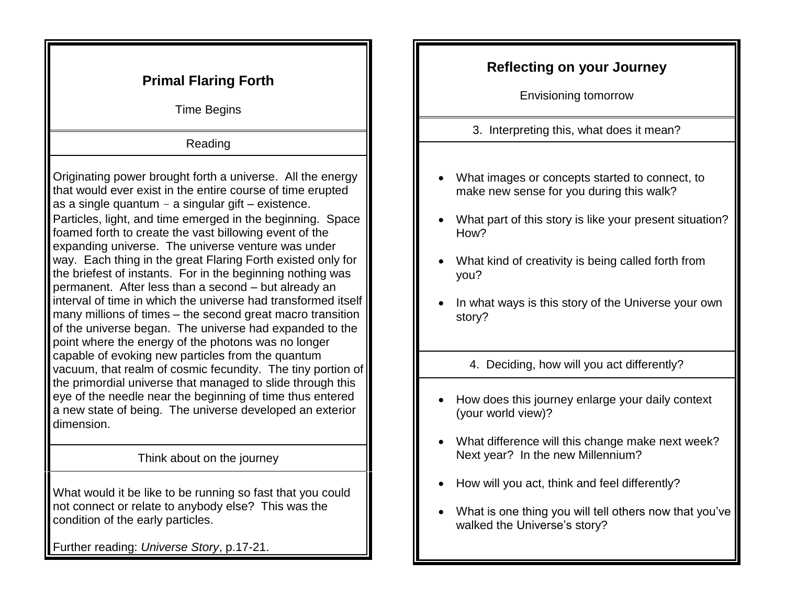| <b>Primal Flaring Forth</b><br><b>Time Begins</b>                                                                                                                                                                                                                                                                                                                                                                                                                                                                                                                                                                                                                                                                                                                                                      | <b>Reflecting on your Journey</b><br><b>Envisioning tomorrow</b>                                                                                                                                                                                                                             |
|--------------------------------------------------------------------------------------------------------------------------------------------------------------------------------------------------------------------------------------------------------------------------------------------------------------------------------------------------------------------------------------------------------------------------------------------------------------------------------------------------------------------------------------------------------------------------------------------------------------------------------------------------------------------------------------------------------------------------------------------------------------------------------------------------------|----------------------------------------------------------------------------------------------------------------------------------------------------------------------------------------------------------------------------------------------------------------------------------------------|
| Reading                                                                                                                                                                                                                                                                                                                                                                                                                                                                                                                                                                                                                                                                                                                                                                                                | 3. Interpreting this, what does it mean?                                                                                                                                                                                                                                                     |
| Originating power brought forth a universe. All the energy<br>that would ever exist in the entire course of time erupted<br>as a single quantum $-$ a singular gift $-$ existence.<br>Particles, light, and time emerged in the beginning. Space<br>foamed forth to create the vast billowing event of the<br>expanding universe. The universe venture was under<br>way. Each thing in the great Flaring Forth existed only for<br>the briefest of instants. For in the beginning nothing was<br>permanent. After less than a second - but already an<br>interval of time in which the universe had transformed itself<br>many millions of times – the second great macro transition<br>of the universe began. The universe had expanded to the<br>point where the energy of the photons was no longer | What images or concepts started to connect, to<br>make new sense for you during this walk?<br>What part of this story is like your present situation?<br>How?<br>What kind of creativity is being called forth from<br>you?<br>In what ways is this story of the Universe your own<br>story? |
| capable of evoking new particles from the quantum<br>vacuum, that realm of cosmic fecundity. The tiny portion of<br>the primordial universe that managed to slide through this<br>eye of the needle near the beginning of time thus entered                                                                                                                                                                                                                                                                                                                                                                                                                                                                                                                                                            | 4. Deciding, how will you act differently?<br>How does this journey enlarge your daily context                                                                                                                                                                                               |
| a new state of being. The universe developed an exterior<br>dimension.                                                                                                                                                                                                                                                                                                                                                                                                                                                                                                                                                                                                                                                                                                                                 | (your world view)?<br>What difference will this change make next week?<br>$\bullet$                                                                                                                                                                                                          |
| Think about on the journey                                                                                                                                                                                                                                                                                                                                                                                                                                                                                                                                                                                                                                                                                                                                                                             | Next year? In the new Millennium?                                                                                                                                                                                                                                                            |
| What would it be like to be running so fast that you could<br>not connect or relate to anybody else? This was the<br>condition of the early particles.                                                                                                                                                                                                                                                                                                                                                                                                                                                                                                                                                                                                                                                 | How will you act, think and feel differently?<br>$\bullet$<br>What is one thing you will tell others now that you've<br>walked the Universe's story?                                                                                                                                         |
| Further reading: Universe Story, p.17-21.                                                                                                                                                                                                                                                                                                                                                                                                                                                                                                                                                                                                                                                                                                                                                              |                                                                                                                                                                                                                                                                                              |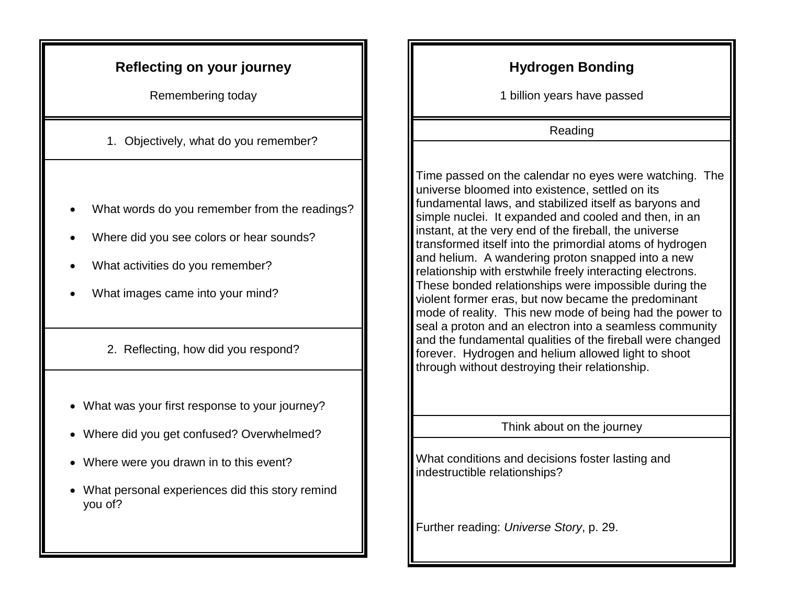## **Reflecting on your journey**

Remembering today

1. Objectively, what do you remember?

- What words do you remember from the readings?
- Where did you see colors or hear sounds?
- What activities do you remember?
- What images came into your mind?
	- 2. Reflecting, how did you respond?
- What was your first response to your journey?
- Where did you get confused? Overwhelmed?
- Where were you drawn in to this event?
- What personal experiences did this story remind you of?

# **Hydrogen Bonding**

1 billion years have passed

Reading

Time passed on the calendar no eyes were watching. The universe bloomed into existence, settled on its fundamental laws, and stabilized itself as baryons and simple nuclei. It expanded and cooled and then, in an instant, at the very end of the fireball, the universe transformed itself into the primordial atoms of hydrogen and helium. A wandering proton snapped into a new relationship with erstwhile freely interacting electrons. These bonded relationships were impossible during the violent former eras, but now became the predominant mode of reality. This new mode of being had the power to seal a proton and an electron into a seamless community and the fundamental qualities of the fireball were changed forever. Hydrogen and helium allowed light to shoot through without destroying their relationship.

Think about on the journey

What conditions and decisions foster lasting and indestructible relationships?

Further reading: *Universe Story*, p. 29.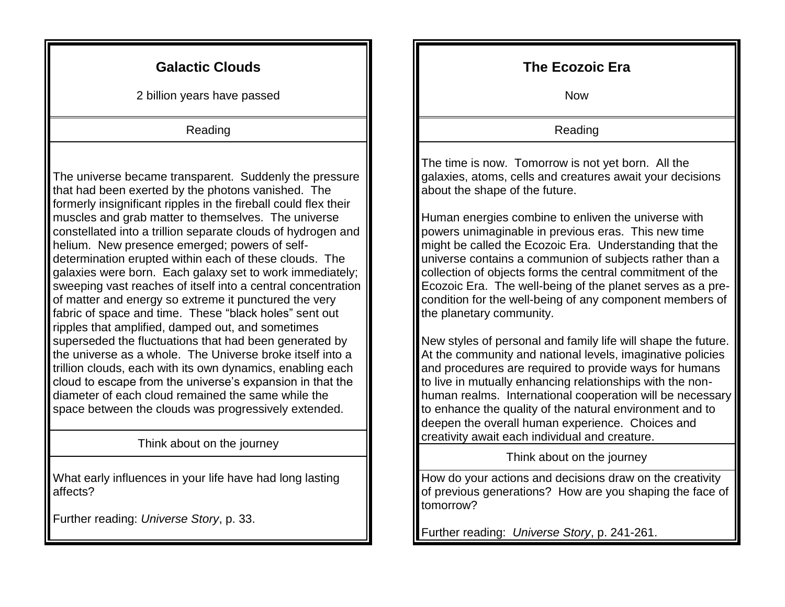## **Galactic Clouds**

2 billion years have passed

Reading

The universe became transparent. Suddenly the pressure that had been exerted by the photons vanished. The formerly insignificant ripples in the fireball could flex their muscles and grab matter to themselves. The universe constellated into a trillion separate clouds of hydrogen and helium. New presence emerged; powers of selfdetermination erupted within each of these clouds. The galaxies were born. Each galaxy set to work immediately; sweeping vast reaches of itself into a central concentration of matter and energy so extreme it punctured the very fabric of space and time. These "black holes" sent out ripples that amplified, damped out, and sometimes superseded the fluctuations that had been generated by the universe as a whole. The Universe broke itself into a trillion clouds, each with its own dynamics, enabling each cloud to escape from the universe's expansion in that the diameter of each cloud remained the same while the space between the clouds was progressively extended.

Think about on the journey

What early influences in your life have had long lasting affects?

Further reading: *Universe Story*, p. 33.

### **The Ecozoic Era**

Now

Reading

The time is now. Tomorrow is not yet born. All the galaxies, atoms, cells and creatures await your decisions about the shape of the future.

Human energies combine to enliven the universe with powers unimaginable in previous eras. This new time might be called the Ecozoic Era. Understanding that the universe contains a communion of subjects rather than a collection of objects forms the central commitment of the Ecozoic Era. The well-being of the planet serves as a precondition for the well-being of any component members of the planetary community.

New styles of personal and family life will shape the future. At the community and national levels, imaginative policies and procedures are required to provide ways for humans to live in mutually enhancing relationships with the nonhuman realms. International cooperation will be necessary to enhance the quality of the natural environment and to deepen the overall human experience. Choices and creativity await each individual and creature.

Think about on the journey

How do your actions and decisions draw on the creativity of previous generations? How are you shaping the face of tomorrow?

Further reading: *Universe Story*, p. 241-261.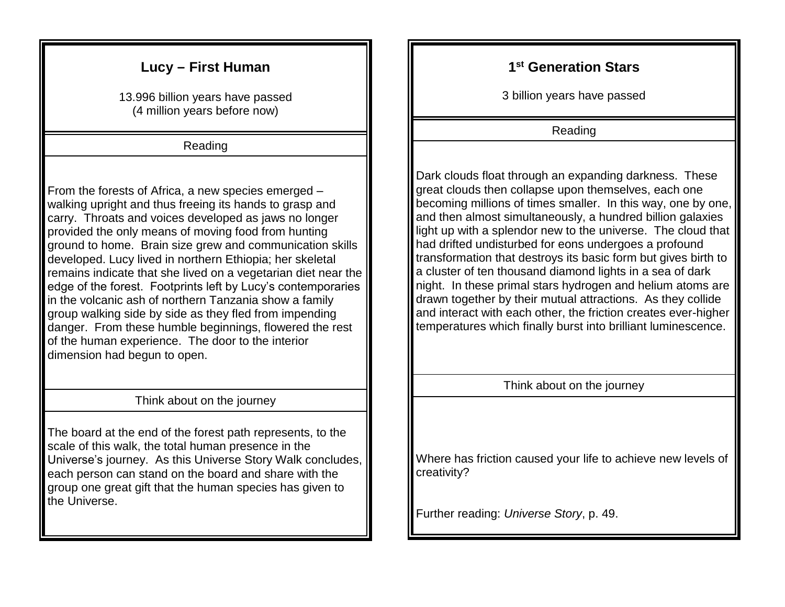## **Lucy – First Human**

13.996 billion years have passed (4 million years before now)

Reading

From the forests of Africa, a new species emerged – walking upright and thus freeing its hands to grasp and carry. Throats and voices developed as jaws no longer provided the only means of moving food from hunting ground to home. Brain size grew and communication skills developed. Lucy lived in northern Ethiopia; her skeletal remains indicate that she lived on a vegetarian diet near the edge of the forest. Footprints left by Lucy's contemporaries in the volcanic ash of northern Tanzania show a family group walking side by side as they fled from impending danger. From these humble beginnings, flowered the rest of the human experience. The door to the interior dimension had begun to open.

Think about on the journey

The board at the end of the forest path represents, to the scale of this walk, the total human presence in the Universe's journey. As this Universe Story Walk concludes, each person can stand on the board and share with the group one great gift that the human species has given to the Universe.

#### **1 st Generation Stars**

3 billion years have passed

Reading

Dark clouds float through an expanding darkness. These great clouds then collapse upon themselves, each one becoming millions of times smaller. In this way, one by one, and then almost simultaneously, a hundred billion galaxies light up with a splendor new to the universe. The cloud that had drifted undisturbed for eons undergoes a profound transformation that destroys its basic form but gives birth to a cluster of ten thousand diamond lights in a sea of dark night. In these primal stars hydrogen and helium atoms are drawn together by their mutual attractions. As they collide and interact with each other, the friction creates ever-higher temperatures which finally burst into brilliant luminescence.

Think about on the journey

Where has friction caused your life to achieve new levels of creativity?

Further reading: *Universe Story*, p. 49.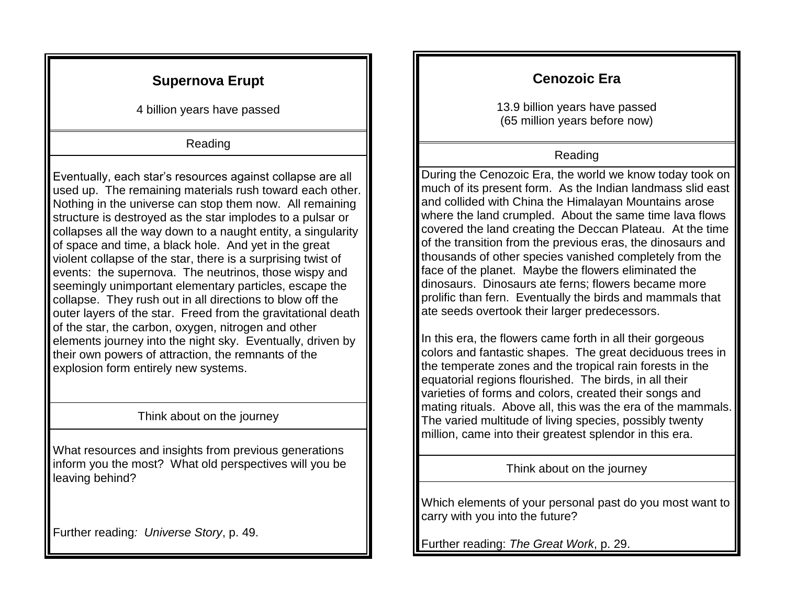## **Supernova Erupt**

4 billion years have passed

#### Reading

Eventually, each star's resources against collapse are all used up. The remaining materials rush toward each other. Nothing in the universe can stop them now. All remaining structure is destroyed as the star implodes to a pulsar or collapses all the way down to a naught entity, a singularity of space and time, a black hole. And yet in the great violent collapse of the star, there is a surprising twist of events: the supernova. The neutrinos, those wispy and seemingly unimportant elementary particles, escape the collapse. They rush out in all directions to blow off the outer layers of the star. Freed from the gravitational death of the star, the carbon, oxygen, nitrogen and other elements journey into the night sky. Eventually, driven by their own powers of attraction, the remnants of the explosion form entirely new systems.

#### Think about on the journey

What resources and insights from previous generations inform you the most? What old perspectives will you be leaving behind?

Further reading*: Universe Story*, p. 49.

# **Cenozoic Era**

13.9 billion years have passed (65 million years before now)

#### Reading

During the Cenozoic Era, the world we know today took on much of its present form. As the Indian landmass slid east and collided with China the Himalayan Mountains arose where the land crumpled. About the same time lava flows covered the land creating the Deccan Plateau. At the time of the transition from the previous eras, the dinosaurs and thousands of other species vanished completely from the face of the planet. Maybe the flowers eliminated the dinosaurs. Dinosaurs ate ferns; flowers became more prolific than fern. Eventually the birds and mammals that ate seeds overtook their larger predecessors.

In this era, the flowers came forth in all their gorgeous colors and fantastic shapes. The great deciduous trees in the temperate zones and the tropical rain forests in the equatorial regions flourished. The birds, in all their varieties of forms and colors, created their songs and mating rituals. Above all, this was the era of the mammals. The varied multitude of living species, possibly twenty million, came into their greatest splendor in this era.

Think about on the journey

Which elements of your personal past do you most want to carry with you into the future?

Further reading: *The Great Work*, p. 29.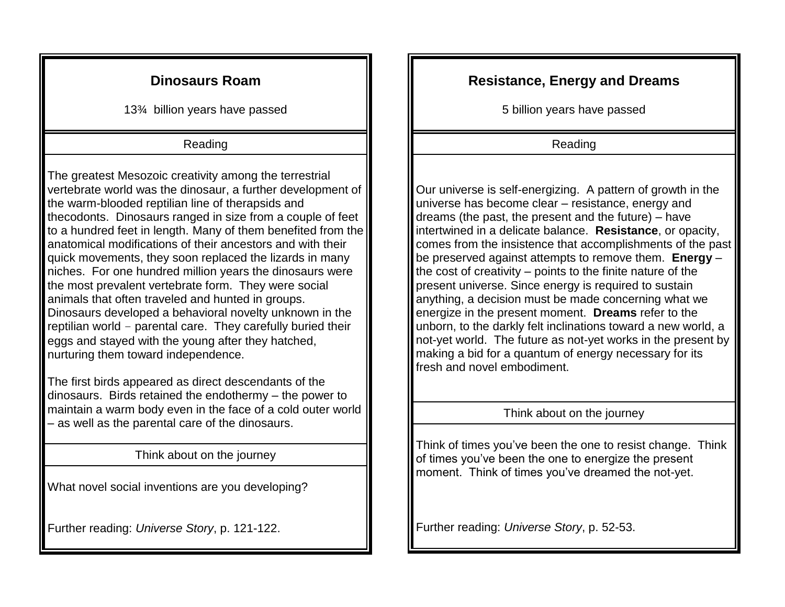## **Dinosaurs Roam**

13¾ billion years have passed

#### Reading

The greatest Mesozoic creativity among the terrestrial vertebrate world was the dinosaur, a further development of the warm-blooded reptilian line of therapsids and thecodonts. Dinosaurs ranged in size from a couple of feet to a hundred feet in length. Many of them benefited from the anatomical modifications of their ancestors and with their quick movements, they soon replaced the lizards in many niches. For one hundred million years the dinosaurs were the most prevalent vertebrate form. They were social animals that often traveled and hunted in groups. Dinosaurs developed a behavioral novelty unknown in the reptilian world – parental care. They carefully buried their eggs and stayed with the young after they hatched, nurturing them toward independence.

The first birds appeared as direct descendants of the dinosaurs. Birds retained the endothermy – the power to maintain a warm body even in the face of a cold outer world – as well as the parental care of the dinosaurs.

Think about on the journey

What novel social inventions are you developing?

Further reading: *Universe Story*, p. 121-122.

## **Resistance, Energy and Dreams**

5 billion years have passed

Reading

Our universe is self-energizing. A pattern of growth in the universe has become clear – resistance, energy and dreams (the past, the present and the future) – have intertwined in a delicate balance. **Resistance**, or opacity, comes from the insistence that accomplishments of the past be preserved against attempts to remove them. **Energy** – the cost of creativity – points to the finite nature of the present universe. Since energy is required to sustain anything, a decision must be made concerning what we energize in the present moment. **Dreams** refer to the unborn, to the darkly felt inclinations toward a new world, a not-yet world. The future as not-yet works in the present by making a bid for a quantum of energy necessary for its fresh and novel embodiment.

#### Think about on the journey

Think of times you've been the one to resist change. Think of times you've been the one to energize the present moment. Think of times you've dreamed the not-yet.

Further reading: *Universe Story*, p. 52-53.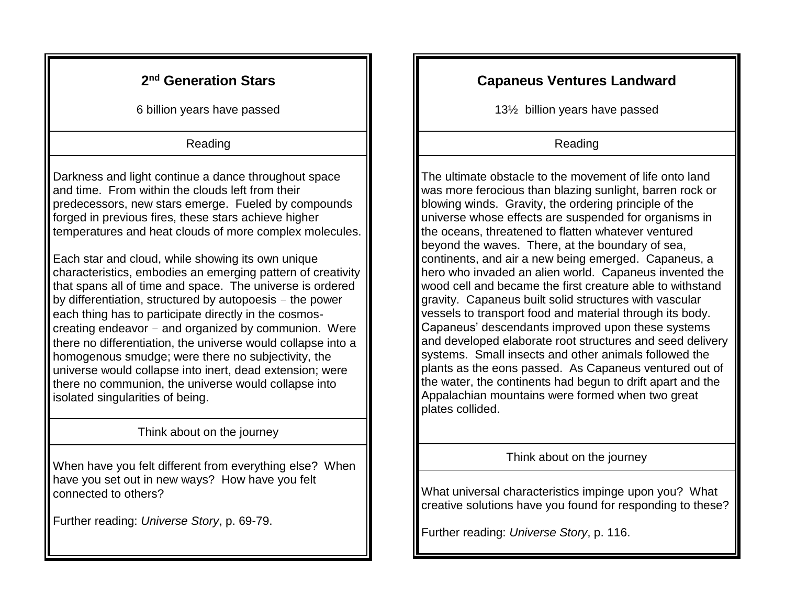## **2 nd Generation Stars**

6 billion years have passed

#### Reading

Darkness and light continue a dance throughout space and time. From within the clouds left from their predecessors, new stars emerge. Fueled by compounds forged in previous fires, these stars achieve higher temperatures and heat clouds of more complex molecules.

Each star and cloud, while showing its own unique characteristics, embodies an emerging pattern of creativity that spans all of time and space. The universe is ordered by differentiation, structured by autopoesis – the power each thing has to participate directly in the cosmoscreating endeavor – and organized by communion. Were there no differentiation, the universe would collapse into a homogenous smudge; were there no subjectivity, the universe would collapse into inert, dead extension; were there no communion, the universe would collapse into isolated singularities of being.

#### Think about on the journey

When have you felt different from everything else? When have you set out in new ways? How have you felt connected to others?

Further reading: *Universe Story*, p. 69-79.

## **Capaneus Ventures Landward**

13½ billion years have passed

#### Reading

The ultimate obstacle to the movement of life onto land was more ferocious than blazing sunlight, barren rock or blowing winds. Gravity, the ordering principle of the universe whose effects are suspended for organisms in the oceans, threatened to flatten whatever ventured beyond the waves. There, at the boundary of sea, continents, and air a new being emerged. Capaneus, a hero who invaded an alien world. Capaneus invented the wood cell and became the first creature able to withstand gravity. Capaneus built solid structures with vascular vessels to transport food and material through its body. Capaneus' descendants improved upon these systems and developed elaborate root structures and seed delivery systems. Small insects and other animals followed the plants as the eons passed. As Capaneus ventured out of the water, the continents had begun to drift apart and the Appalachian mountains were formed when two great plates collided.

Think about on the journey

What universal characteristics impinge upon you? What creative solutions have you found for responding to these?

Further reading: *Universe Story*, p. 116.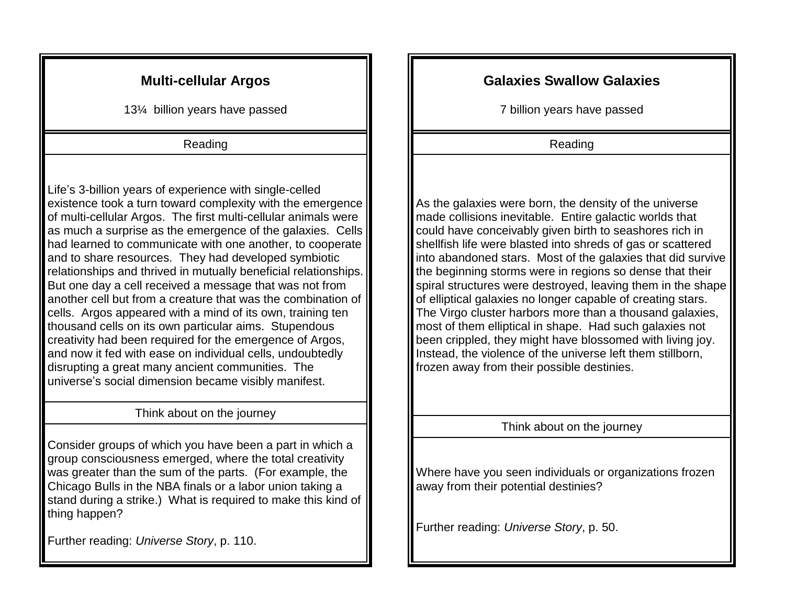## **Multi-cellular Argos**

13¼ billion years have passed

#### Reading

Life's 3-billion years of experience with single-celled existence took a turn toward complexity with the emergence of multi-cellular Argos. The first multi-cellular animals were as much a surprise as the emergence of the galaxies. Cells had learned to communicate with one another, to cooperate and to share resources. They had developed symbiotic relationships and thrived in mutually beneficial relationships. But one day a cell received a message that was not from another cell but from a creature that was the combination of cells. Argos appeared with a mind of its own, training ten thousand cells on its own particular aims. Stupendous creativity had been required for the emergence of Argos, and now it fed with ease on individual cells, undoubtedly disrupting a great many ancient communities. The universe's social dimension became visibly manifest.

#### Think about on the journey

Consider groups of which you have been a part in which a group consciousness emerged, where the total creativity was greater than the sum of the parts. (For example, the Chicago Bulls in the NBA finals or a labor union taking a stand during a strike.) What is required to make this kind of thing happen?

Further reading: *Universe Story*, p. 110.

## **Galaxies Swallow Galaxies**

7 billion years have passed

Reading

As the galaxies were born, the density of the universe made collisions inevitable. Entire galactic worlds that could have conceivably given birth to seashores rich in shellfish life were blasted into shreds of gas or scattered into abandoned stars. Most of the galaxies that did survive the beginning storms were in regions so dense that their spiral structures were destroyed, leaving them in the shape of elliptical galaxies no longer capable of creating stars. The Virgo cluster harbors more than a thousand galaxies, most of them elliptical in shape. Had such galaxies not been crippled, they might have blossomed with living joy. Instead, the violence of the universe left them stillborn, frozen away from their possible destinies.

Think about on the journey

Where have you seen individuals or organizations frozen away from their potential destinies?

Further reading: *Universe Story*, p. 50.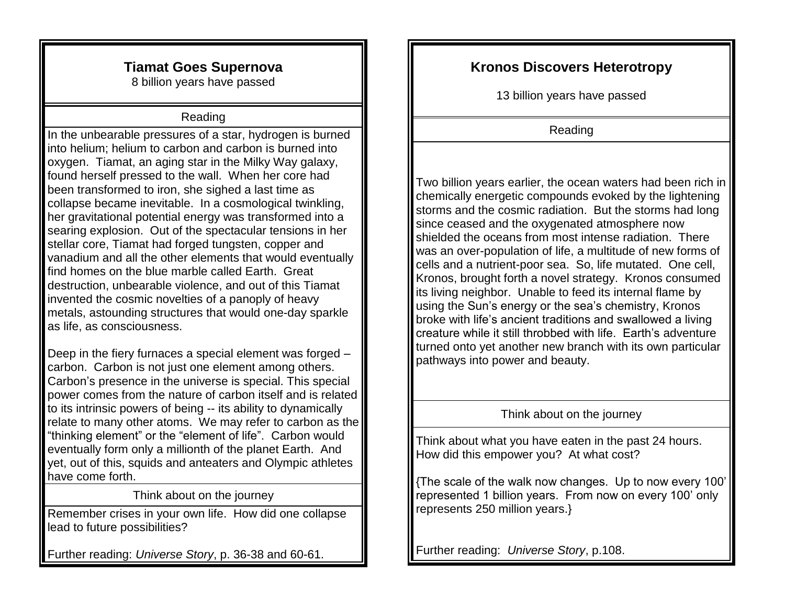## **Tiamat Goes Supernova**

8 billion years have passed

#### Reading

In the unbearable pressures of a star, hydrogen is burned into helium; helium to carbon and carbon is burned into oxygen. Tiamat, an aging star in the Milky Way galaxy, found herself pressed to the wall. When her core had been transformed to iron, she sighed a last time as collapse became inevitable. In a cosmological twinkling, her gravitational potential energy was transformed into a searing explosion. Out of the spectacular tensions in her stellar core, Tiamat had forged tungsten, copper and vanadium and all the other elements that would eventually find homes on the blue marble called Earth. Great destruction, unbearable violence, and out of this Tiamat invented the cosmic novelties of a panoply of heavy metals, astounding structures that would one-day sparkle as life, as consciousness.

Deep in the fiery furnaces a special element was forged – carbon. Carbon is not just one element among others. Carbon's presence in the universe is special. This special power comes from the nature of carbon itself and is related to its intrinsic powers of being -- its ability to dynamically relate to many other atoms. We may refer to carbon as the "thinking element" or the "element of life". Carbon would eventually form only a millionth of the planet Earth. And yet, out of this, squids and anteaters and Olympic athletes have come forth.

Think about on the journey

Remember crises in your own life. How did one collapse lead to future possibilities?

Further reading: *Universe Story*, p. 36-38 and 60-61.

## **Kronos Discovers Heterotropy**

13 billion years have passed

Reading

Two billion years earlier, the ocean waters had been rich in chemically energetic compounds evoked by the lightening storms and the cosmic radiation. But the storms had long since ceased and the oxygenated atmosphere now shielded the oceans from most intense radiation. There was an over-population of life, a multitude of new forms of cells and a nutrient-poor sea. So, life mutated. One cell, Kronos, brought forth a novel strategy. Kronos consumed its living neighbor. Unable to feed its internal flame by using the Sun's energy or the sea's chemistry, Kronos broke with life's ancient traditions and swallowed a living creature while it still throbbed with life. Earth's adventure turned onto yet another new branch with its own particular pathways into power and beauty.

#### Think about on the journey

Think about what you have eaten in the past 24 hours. How did this empower you? At what cost?

{The scale of the walk now changes. Up to now every 100' represented 1 billion years. From now on every 100' only represents 250 million years.}

Further reading: *Universe Story*, p.108.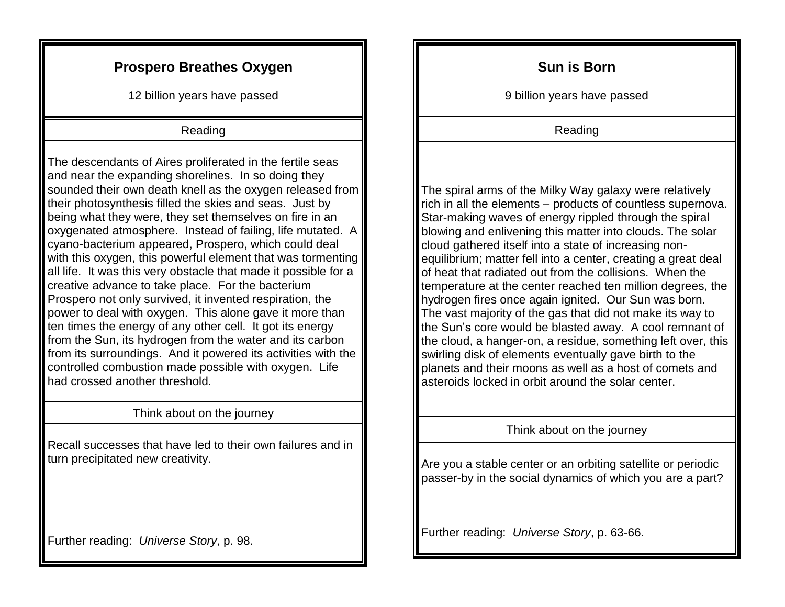## **Prospero Breathes Oxygen**

12 billion years have passed

#### Reading

The descendants of Aires proliferated in the fertile seas and near the expanding shorelines. In so doing they sounded their own death knell as the oxygen released from their photosynthesis filled the skies and seas. Just by being what they were, they set themselves on fire in an oxygenated atmosphere. Instead of failing, life mutated. A cyano-bacterium appeared, Prospero, which could deal with this oxygen, this powerful element that was tormenting all life. It was this very obstacle that made it possible for a creative advance to take place. For the bacterium Prospero not only survived, it invented respiration, the power to deal with oxygen. This alone gave it more than ten times the energy of any other cell. It got its energy from the Sun, its hydrogen from the water and its carbon from its surroundings. And it powered its activities with the controlled combustion made possible with oxygen. Life had crossed another threshold.

#### Think about on the journey

Recall successes that have led to their own failures and in turn precipitated new creativity.

Further reading: *Universe Story*, p. 98.

#### **Sun is Born**

9 billion years have passed

Reading

The spiral arms of the Milky Way galaxy were relatively rich in all the elements – products of countless supernova. Star-making waves of energy rippled through the spiral blowing and enlivening this matter into clouds. The solar cloud gathered itself into a state of increasing nonequilibrium; matter fell into a center, creating a great deal of heat that radiated out from the collisions. When the temperature at the center reached ten million degrees, the hydrogen fires once again ignited. Our Sun was born. The vast majority of the gas that did not make its way to the Sun's core would be blasted away. A cool remnant of the cloud, a hanger-on, a residue, something left over, this swirling disk of elements eventually gave birth to the planets and their moons as well as a host of comets and asteroids locked in orbit around the solar center.

#### Think about on the journey

Are you a stable center or an orbiting satellite or periodic passer-by in the social dynamics of which you are a part?

Further reading: *Universe Story*, p. 63-66.